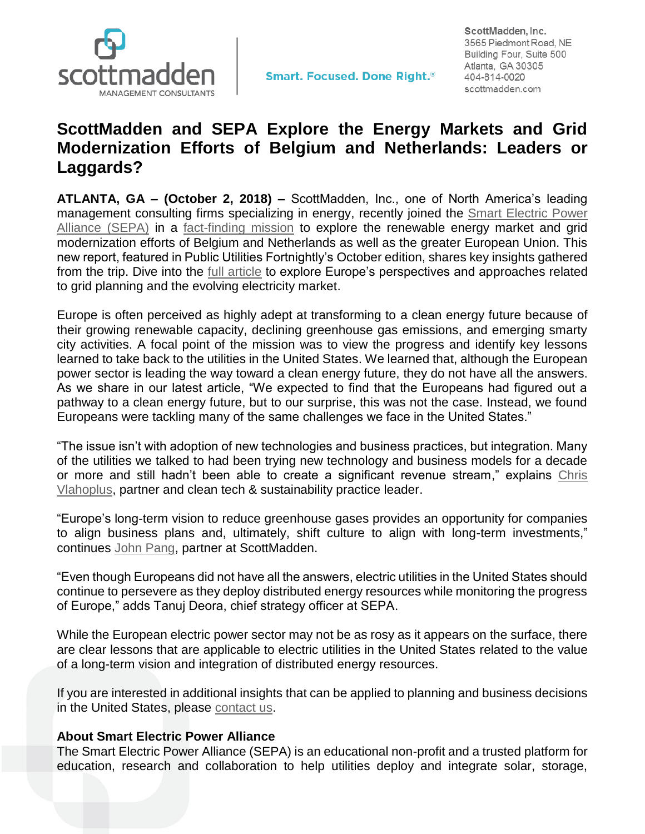

ScottMadden, Inc. 3565 Piedmont Road, NE Building Four, Suite 500 Atlanta, GA 30305 404-814-0020 scottmadden.com

## **ScottMadden and SEPA Explore the Energy Markets and Grid Modernization Efforts of Belgium and Netherlands: Leaders or Laggards?**

**ATLANTA, GA – (October 2, 2018) –** ScottMadden, Inc., one of North America's leading management consulting firms specializing in energy, recently joined the **Smart Electric Power** [Alliance](https://www.solarelectricpower.org/) (SEPA) in a [fact-finding mission](http://www.scottmadden.com/insight/sepa-factfinding-missions-exploring-the-energy-market/) to explore the renewable energy market and grid modernization efforts of Belgium and Netherlands as well as the greater European Union. This new report, featured in Public Utilities Fortnightly's October edition, shares key insights gathered from the trip. Dive into the [full article](https://www.scottmadden.com/insight/europe-handle-energy-future/) to explore Europe's perspectives and approaches related to grid planning and the evolving electricity market.

Europe is often perceived as highly adept at transforming to a clean energy future because of their growing renewable capacity, declining greenhouse gas emissions, and emerging smarty city activities. A focal point of the mission was to view the progress and identify key lessons learned to take back to the utilities in the United States. We learned that, although the European power sector is leading the way toward a clean energy future, they do not have all the answers. As we share in our latest article, "We expected to find that the Europeans had figured out a pathway to a clean energy future, but to our surprise, this was not the case. Instead, we found Europeans were tackling many of the same challenges we face in the United States."

"The issue isn't with adoption of new technologies and business practices, but integration. Many of the utilities we talked to had been trying new technology and business models for a decade or more and still hadn't been able to create a significant revenue stream," explains [Chris](http://www.scottmadden.com/person/chris-vlahoplus/)  [Vlahoplus,](http://www.scottmadden.com/person/chris-vlahoplus/) partner and clean tech & sustainability practice leader.

"Europe's long-term vision to reduce greenhouse gases provides an opportunity for companies to align business plans and, ultimately, shift culture to align with long-term investments," continues [John Pang,](http://www.scottmadden.com/person/john-pang/) partner at ScottMadden.

"Even though Europeans did not have all the answers, electric utilities in the United States should continue to persevere as they deploy distributed energy resources while monitoring the progress of Europe," adds Tanuj Deora, chief strategy officer at SEPA.

While the European electric power sector may not be as rosy as it appears on the surface, there are clear lessons that are applicable to electric utilities in the United States related to the value of a long-term vision and integration of distributed energy resources.

If you are interested in additional insights that can be applied to planning and business decisions in the United States, please [contact us.](https://www.scottmadden.com/contact-us/)

## **About Smart Electric Power Alliance**

The Smart Electric Power Alliance (SEPA) is an educational non-profit and a trusted platform for education, research and collaboration to help utilities deploy and integrate solar, storage,